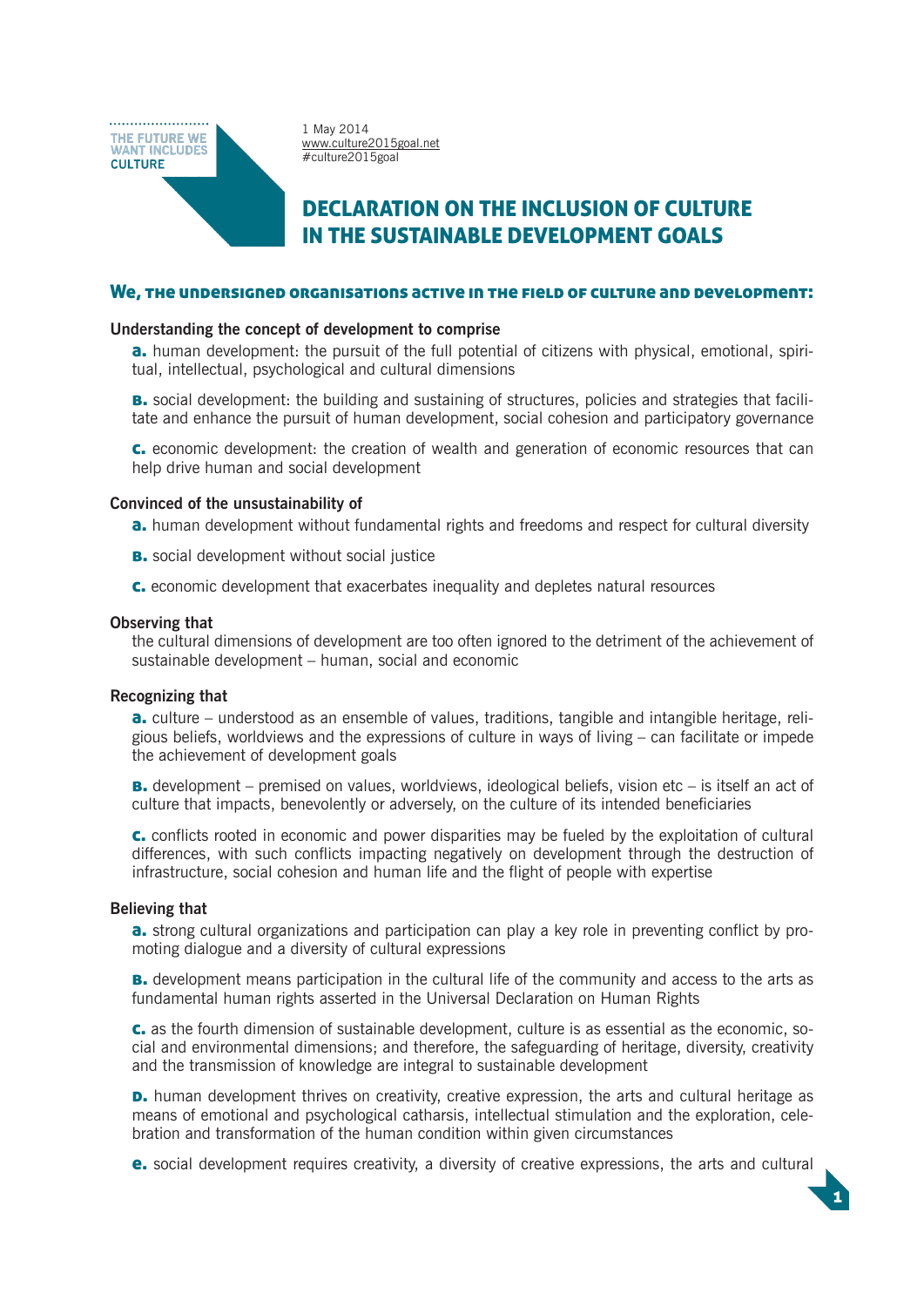THE FUTURE WE **WANT INCLUDES CULTURE** 

1 May 2014 www.culture2015goal.net #culture2015goal

# DECLARATION ON THE INCLUSION OF CULTURE IN THE SUSTAINABLE DEVELOPMENT GOALS

#### We, the undersigned organisations active in the field of culture and development:

#### **Understanding the concept of development to comprise**

**a.** human development: the pursuit of the full potential of citizens with physical, emotional, spiritual, intellectual, psychological and cultural dimensions

**B.** social development: the building and sustaining of structures, policies and strategies that facilitate and enhance the pursuit of human development, social cohesion and participatory governance

c. economic development: the creation of wealth and generation of economic resources that can help drive human and social development

#### **Convinced of the unsustainability of**

**a.** human development without fundamental rights and freedoms and respect for cultural diversity

- **B.** social development without social justice
- c. economic development that exacerbates inequality and depletes natural resources

#### **Observing that**

the cultural dimensions of development are too often ignored to the detriment of the achievement of sustainable development – human, social and economic

#### **Recognizing that**

**a.** culture – understood as an ensemble of values, traditions, tangible and intangible heritage, religious beliefs, worldviews and the expressions of culture in ways of living – can facilitate or impede the achievement of development goals

**B.** development – premised on values, worldviews, ideological beliefs, vision etc – is itself an act of culture that impacts, benevolently or adversely, on the culture of its intended beneficiaries

c. conflicts rooted in economic and power disparities may be fueled by the exploitation of cultural differences, with such conflicts impacting negatively on development through the destruction of infrastructure, social cohesion and human life and the flight of people with expertise

#### **Believing that**

**a.** strong cultural organizations and participation can play a key role in preventing conflict by promoting dialogue and a diversity of cultural expressions

**B.** development means participation in the cultural life of the community and access to the arts as fundamental human rights asserted in the Universal Declaration on Human Rights

c. as the fourth dimension of sustainable development, culture is as essential as the economic, social and environmental dimensions; and therefore, the safeguarding of heritage, diversity, creativity and the transmission of knowledge are integral to sustainable development

**D.** human development thrives on creativity, creative expression, the arts and cultural heritage as means of emotional and psychological catharsis, intellectual stimulation and the exploration, celebration and transformation of the human condition within given circumstances

e. social development requires creativity, a diversity of creative expressions, the arts and cultural

1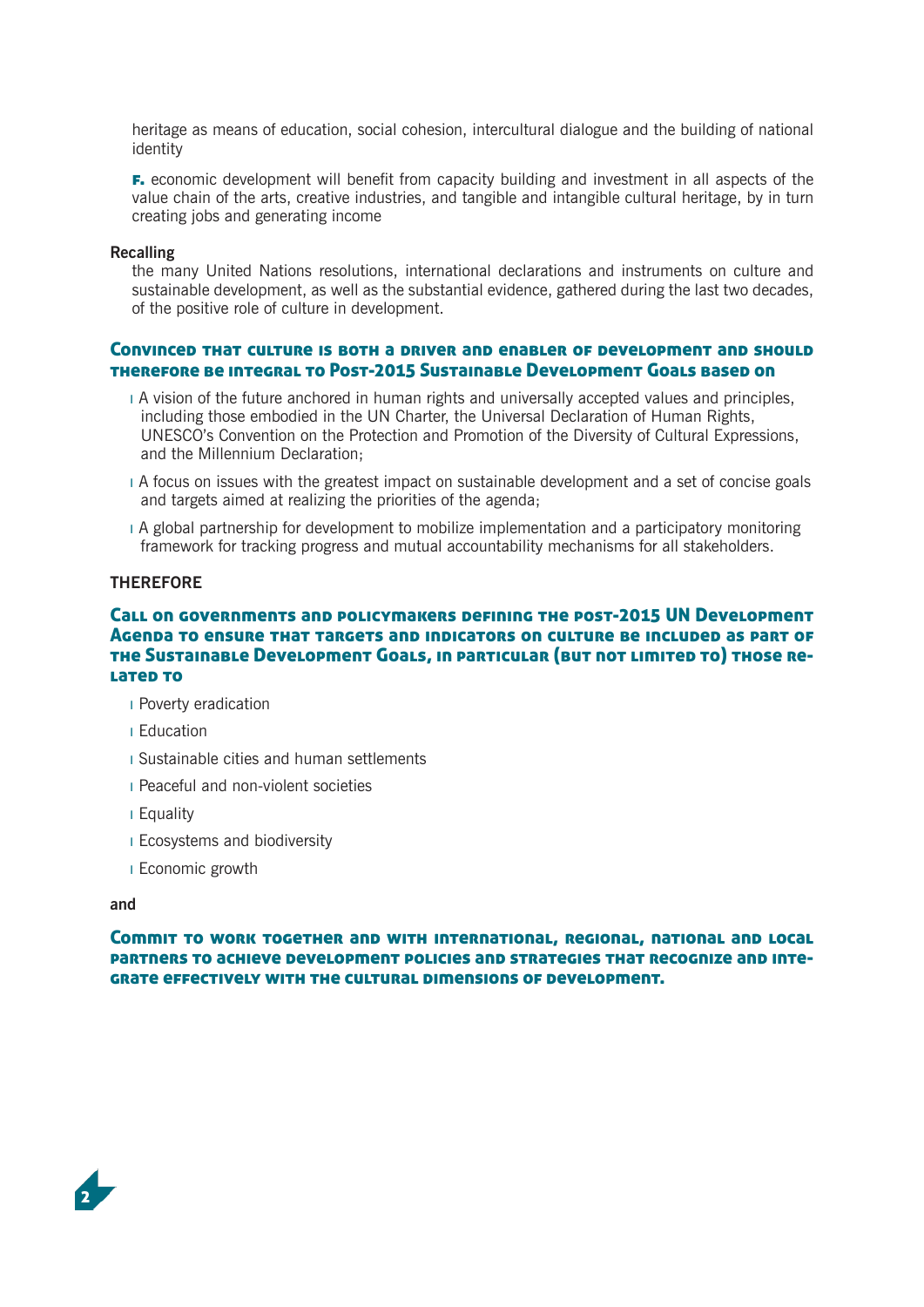heritage as means of education, social cohesion, intercultural dialogue and the building of national identity

**F.** economic development will benefit from capacity building and investment in all aspects of the value chain of the arts, creative industries, and tangible and intangible cultural heritage, by in turn creating jobs and generating income

#### **Recalling**

the many United Nations resolutions, international declarations and instruments on culture and sustainable development, as well as the substantial evidence, gathered during the last two decades, of the positive role of culture in development.

## Convinced that culture is both a driver and enabler of development and should therefore be integral to Post-2015 Sustainable Development Goals based on

- ı A vision of the future anchored in human rights and universally accepted values and principles, including those embodied in the UN Charter, the Universal Declaration of Human Rights, UNESCO's Convention on the Protection and Promotion of the Diversity of Cultural Expressions, and the Millennium Declaration;
- ı A focus on issues with the greatest impact on sustainable development and a set of concise goals and targets aimed at realizing the priorities of the agenda;
- ı A global partnership for development to mobilize implementation and a participatory monitoring framework for tracking progress and mutual accountability mechanisms for all stakeholders.

## **THEREFORE**

## Call on governments and policymakers defining the post-2015 UN Development Agenda to ensure that targets and indicators on culture be included as part of the Sustainable Development Goals, in particular (but not limited to) those related to

- ı Poverty eradication
- ı Education
- ı Sustainable cities and human settlements
- ı Peaceful and non-violent societies
- ı Equality
- ı Ecosystems and biodiversity
- ı Economic growth

#### **and**

Commit to work together and with international, regional, national and local partners to achieve development policies and strategies that recognize and integrate effectively with the cultural dimensions of development.